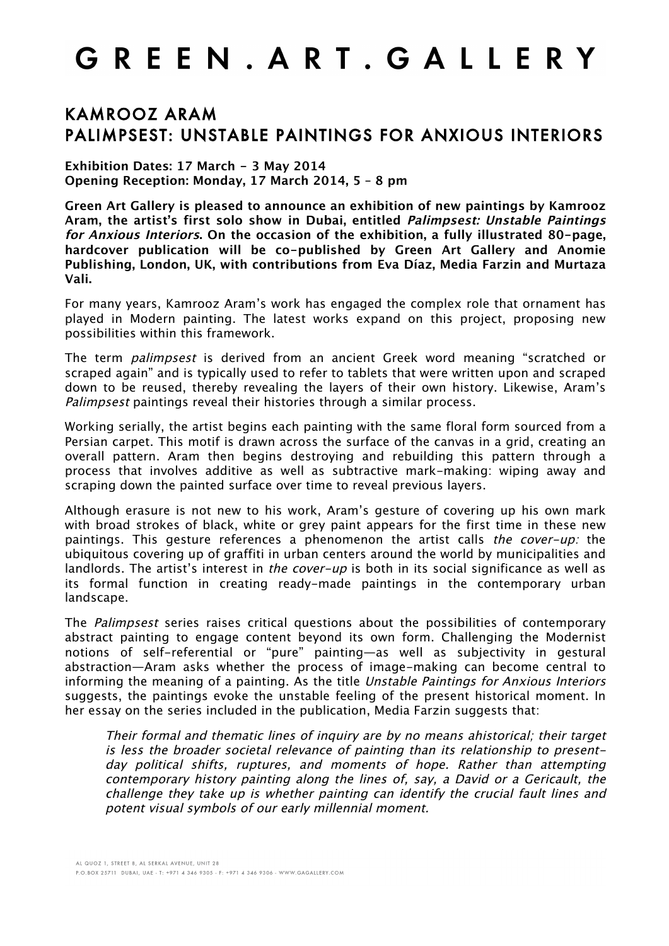## GREEN. ART. GALLERY

## KAMROOZ ARAM PALIMPSEST: UNSTABLE PAINTINGS FOR ANXIOUS INTERIORS

**Exhibition Dates: 17 March - 3 May 2014 Opening Reception: Monday, 17 March 2014, 5 – 8 pm**

**Green Art Gallery is pleased to announce an exhibition of new paintings by Kamrooz Aram, the artist's first solo show in Dubai, entitled Palimpsest: Unstable Paintings for Anxious Interiors. On the occasion of the exhibition, a fully illustrated 80-page, hardcover publication will be co-published by Green Art Gallery and Anomie Publishing, London, UK, with contributions from Eva Díaz, Media Farzin and Murtaza Vali.**

For many years, Kamrooz Aram's work has engaged the complex role that ornament has played in Modern painting. The latest works expand on this project, proposing new possibilities within this framework.

The term *palimpsest* is derived from an ancient Greek word meaning "scratched or scraped again" and is typically used to refer to tablets that were written upon and scraped down to be reused, thereby revealing the layers of their own history. Likewise, Aram's Palimpsest paintings reveal their histories through a similar process.

Working serially, the artist begins each painting with the same floral form sourced from a Persian carpet. This motif is drawn across the surface of the canvas in a grid, creating an overall pattern. Aram then begins destroying and rebuilding this pattern through a process that involves additive as well as subtractive mark-making: wiping away and scraping down the painted surface over time to reveal previous layers.

Although erasure is not new to his work, Aram's gesture of covering up his own mark with broad strokes of black, white or grey paint appears for the first time in these new paintings. This gesture references a phenomenon the artist calls *the cover-up:* the ubiquitous covering up of graffiti in urban centers around the world by municipalities and landlords. The artist's interest in the cover-up is both in its social significance as well as its formal function in creating ready-made paintings in the contemporary urban landscape.

The Palimpsest series raises critical questions about the possibilities of contemporary abstract painting to engage content beyond its own form. Challenging the Modernist notions of self-referential or "pure" painting—as well as subjectivity in gestural abstraction—Aram asks whether the process of image-making can become central to informing the meaning of a painting. As the title Unstable Paintings for Anxious Interiors suggests, the paintings evoke the unstable feeling of the present historical moment. In her essay on the series included in the publication, Media Farzin suggests that:

Their formal and thematic lines of inquiry are by no means ahistorical; their target is less the broader societal relevance of painting than its relationship to presentday political shifts, ruptures, and moments of hope. Rather than attempting contemporary history painting along the lines of, say, a David or a Gericault, the challenge they take up is whether painting can identify the crucial fault lines and potent visual symbols of our early millennial moment.